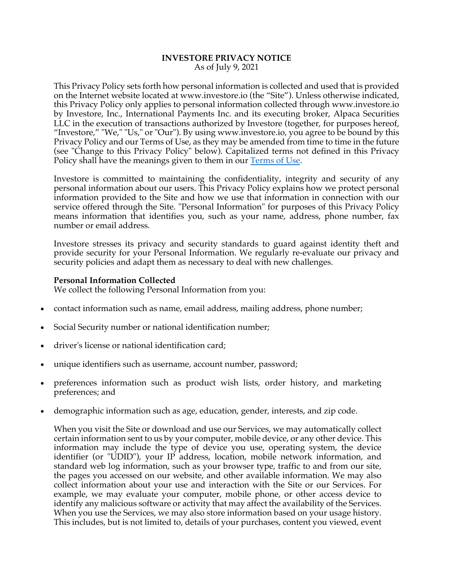# **INVESTORE PRIVACY NOTICE**

As of July 9, 2021

This Privacy Policy sets forth how personal information is collected and used that is provided on the Internet website located at www.investore.io (the "Site"). Unless otherwise indicated, this Privacy Policy only applies to personal information collected through www.investore.io by Investore, Inc., International Payments Inc. and its executing broker, Alpaca Securities LLC in the execution of transactions authorized by Investore (together, for purposes hereof, "Investore," "We," "Us," or "Our"). By using www.investore.io, you agree to be bound by this Privacy Policy and our Terms of Use, as they may be amended from time to time in the future (see "Change to this Privacy Policy" below). Capitalized terms not defined in this Privacy Policy shall have the meanings given to them in our Terms of Use.

Investore is committed to maintaining the confidentiality, integrity and security of any personal information about our users. This Privacy Policy explains how we protect personal information provided to the Site and how we use that information in connection with our service offered through the Site. "Personal Information" for purposes of this Privacy Policy means information that identifies you, such as your name, address, phone number, fax number or email address.

Investore stresses its privacy and security standards to guard against identity theft and provide security for your Personal Information. We regularly re-evaluate our privacy and security policies and adapt them as necessary to deal with new challenges.

#### **Personal Information Collected**

We collect the following Personal Information from you:

- contact information such as name, email address, mailing address, phone number;
- Social Security number or national identification number;
- driver's license or national identification card;
- unique identifiers such as username, account number, password;
- preferences information such as product wish lists, order history, and marketing preferences; and
- demographic information such as age, education, gender, interests, and zip code.

When you visit the Site or download and use our Services, we may automatically collect certain information sent to us by your computer, mobile device, or any other device. This information may include the type of device you use, operating system, the device identifier (or "UDID"), your IP address, location, mobile network information, and standard web log information, such as your browser type, traffic to and from our site, the pages you accessed on our website, and other available information. We may also collect information about your use and interaction with the Site or our Services. For example, we may evaluate your computer, mobile phone, or other access device to identify any malicious software or activity that may affect the availability of the Services. When you use the Services, we may also store information based on your usage history. This includes, but is not limited to, details of your purchases, content you viewed, event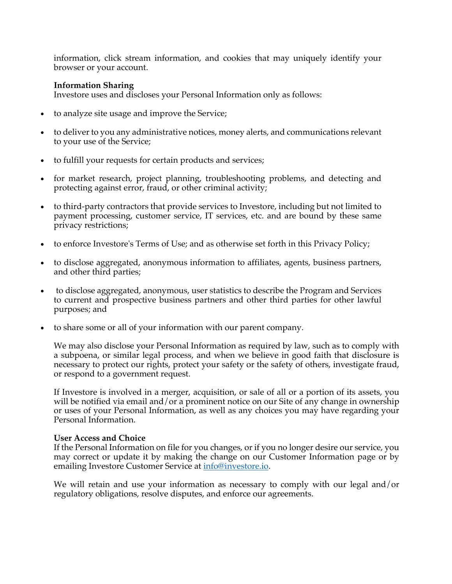information, click stream information, and cookies that may uniquely identify your browser or your account.

## **Information Sharing**

Investore uses and discloses your Personal Information only as follows:

- to analyze site usage and improve the Service;
- to deliver to you any administrative notices, money alerts, and communications relevant to your use of the Service;
- to fulfill your requests for certain products and services;
- for market research, project planning, troubleshooting problems, and detecting and protecting against error, fraud, or other criminal activity;
- to third-party contractors that provide services to Investore, including but not limited to payment processing, customer service, IT services, etc. and are bound by these same privacy restrictions;
- to enforce Investore's Terms of Use; and as otherwise set forth in this Privacy Policy;
- to disclose aggregated, anonymous information to affiliates, agents, business partners, and other third parties;
- to disclose aggregated, anonymous, user statistics to describe the Program and Services to current and prospective business partners and other third parties for other lawful purposes; and
- to share some or all of your information with our parent company.

We may also disclose your Personal Information as required by law, such as to comply with a subpoena, or similar legal process, and when we believe in good faith that disclosure is necessary to protect our rights, protect your safety or the safety of others, investigate fraud, or respond to a government request.

If Investore is involved in a merger, acquisition, or sale of all or a portion of its assets, you will be notified via email and/or a prominent notice on our Site of any change in ownership or uses of your Personal Information, as well as any choices you may have regarding your Personal Information.

#### **User Access and Choice**

If the Personal Information on file for you changes, or if you no longer desire our service, you may correct or update it by making the change on our Customer Information page or by emailing Investore Customer Service at info@investore.io.

We will retain and use your information as necessary to comply with our legal and/or regulatory obligations, resolve disputes, and enforce our agreements.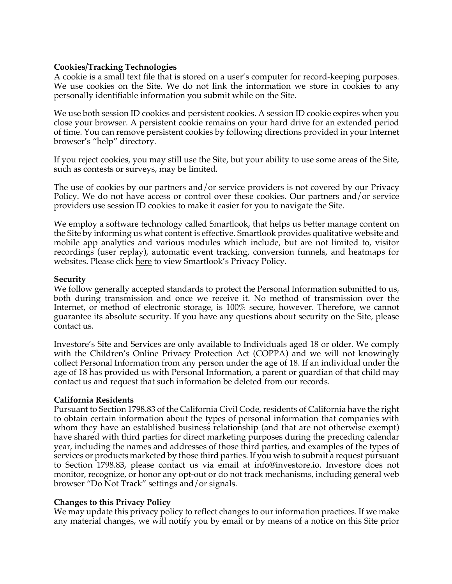## **Cookies/Tracking Technologies**

A cookie is a small text file that is stored on a user's computer for record-keeping purposes. We use cookies on the Site. We do not link the information we store in cookies to any personally identifiable information you submit while on the Site.

We use both session ID cookies and persistent cookies. A session ID cookie expires when you close your browser. A persistent cookie remains on your hard drive for an extended period of time. You can remove persistent cookies by following directions provided in your Internet browser's "help" directory.

If you reject cookies, you may still use the Site, but your ability to use some areas of the Site, such as contests or surveys, may be limited.

The use of cookies by our partners and/or service providers is not covered by our Privacy Policy. We do not have access or control over these cookies. Our partners and/or service providers use session ID cookies to make it easier for you to navigate the Site.

We employ a software technology called Smartlook, that helps us better manage content on the Site by informing us what content is effective. Smartlook provides qualitative website and mobile app analytics and various modules which include, but are not limited to, visitor recordings (user replay), automatic event tracking, conversion funnels, and heatmaps for websites. Please click here to view Smartlook's Privacy Policy.

#### **Security**

We follow generally accepted standards to protect the Personal Information submitted to us, both during transmission and once we receive it. No method of transmission over the Internet, or method of electronic storage, is 100% secure, however. Therefore, we cannot guarantee its absolute security. If you have any questions about security on the Site, please contact us.

Investore's Site and Services are only available to Individuals aged 18 or older. We comply with the Children's Online Privacy Protection Act (COPPA) and we will not knowingly collect Personal Information from any person under the age of 18. If an individual under the age of 18 has provided us with Personal Information, a parent or guardian of that child may contact us and request that such information be deleted from our records.

# **California Residents**

Pursuant to Section 1798.83 of the California Civil Code, residents of California have the right to obtain certain information about the types of personal information that companies with whom they have an established business relationship (and that are not otherwise exempt) have shared with third parties for direct marketing purposes during the preceding calendar year, including the names and addresses of those third parties, and examples of the types of services or products marketed by those third parties. If you wish to submit a request pursuant to Section 1798.83, please contact us via email at info@investore.io. Investore does not monitor, recognize, or honor any opt-out or do not track mechanisms, including general web browser "Do Not Track" settings and/or signals.

# **Changes to this Privacy Policy**

We may update this privacy policy to reflect changes to our information practices. If we make any material changes, we will notify you by email or by means of a notice on this Site prior